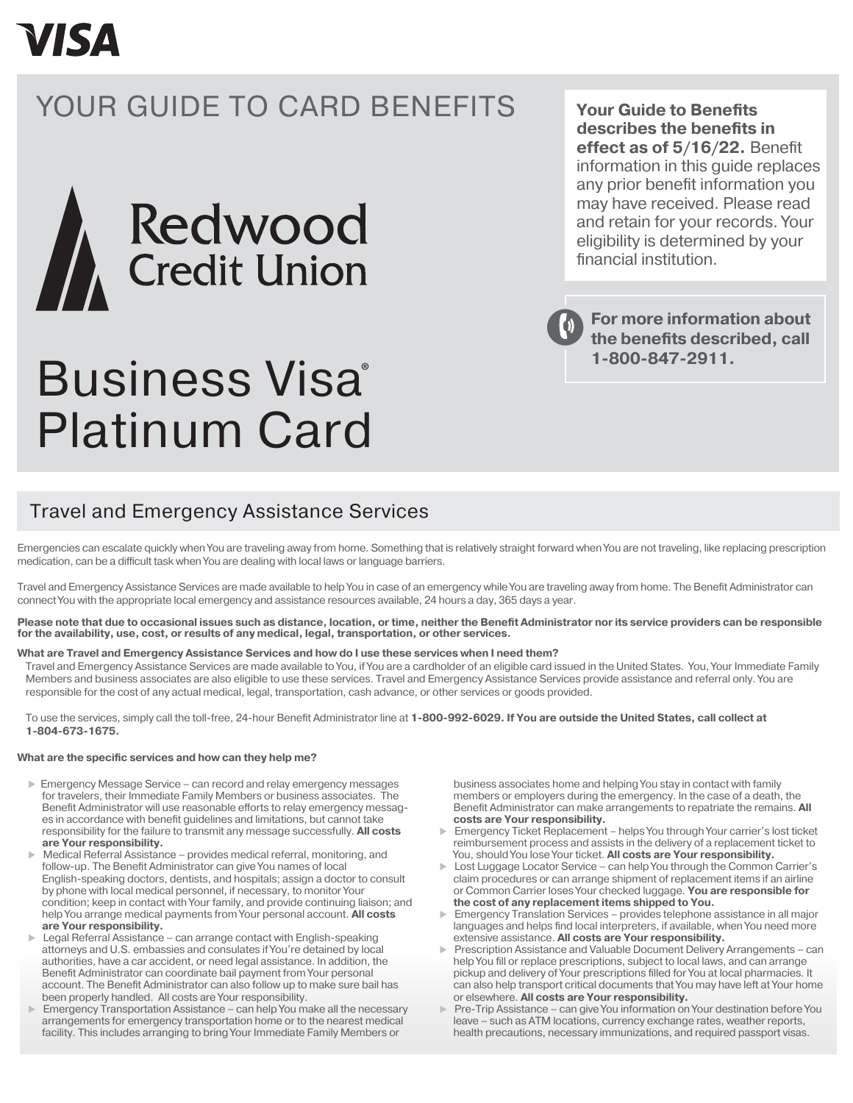## **VISA**

## YOUR GUIDE TO CARD BENEFITS



# Business Visa Platinum Card

Travel and Emergency Assistance Services

Emergencies can escalate quickly when You are traveling away from home. Something that is relatively straight forward when You are not traveling, like replacing prescription medication, can be a difficult task when You are dealing with local laws or language barriers.

Travel and Emergency Assistance Services are made available to help You in case of an emergency while You are traveling away from home. The Benefit Administrator can connect You with the appropriate local emergency and assistance resources available, 24 hours a day, 365 days a year.

**Please note that due to occasional issues such as distance, location, or time, neither the Benefit Administrator nor its service providers can be responsible for the availability, use, cost, or results of any medical, legal, transportation, or other services.**

#### **What are Travel and Emergency Assistance Services and how do I use these services when I need them?**

Travel and Emergency Assistance Services are made available to You, if You are a cardholder of an eligible card issued in the United States. You, Your Immediate Family Members and business associates are also eligible to use these services. Travel and Emergency Assistance Services provide assistance and referral only. You are responsible for the cost of any actual medical, legal, transportation, cash advance, or other services or goods provided.

To use the services, simply call the toll-free, 24-hour Benefit Administrator line at **1-800-992-6029. If You are outside the United States, call collect at 1-804-673-1675.**

#### **What are the specific services and how can they help me?**

- ► Emergency Message Service can record and relay emergency messages for travelers, their Immediate Family Members or business associates. The Benefit Administrator will use reasonable efforts to relay emergency messages in accordance with benefit guidelines and limitations, but cannot take responsibility for the failure to transmit any message successfully. **All costs are Your responsibility.**
- Medical Referral Assistance provides medical referral, monitoring, and follow-up. The Benefit Administrator can give You names of local English-speaking doctors, dentists, and hospitals; assign a doctor to consult by phone with local medical personnel, if necessary, to monitor Your condition; keep in contact with Your family, and provide continuing liaison; and help You arrange medical payments from Your personal account. **All costs are Your responsibility.**
- Legal Referral Assistance can arrange contact with English-speaking attorneys and U.S. embassies and consulates if You're detained by local authorities, have a car accident, or need legal assistance. In addition, the Benefit Administrator can coordinate bail payment from Your personal account. The Benefit Administrator can also follow up to make sure bail has been properly handled. All costs are Your responsibility.
- Emergency Transportation Assistance can help You make all the necessary arrangements for emergency transportation home or to the nearest medical facility. This includes arranging to bring Your Immediate Family Members or

 business associates home and helping You stay in contact with family members or employers during the emergency. In the case of a death, the Benefit Administrator can make arrangements to repatriate the remains. **All costs are Your responsibility.**

- Emergency Ticket Replacement helps You through Your carrier's lost ticket reimbursement process and assists in the delivery of a replacement ticket to You, should You lose Your ticket. **All costs are Your responsibility.**
- Lost Luggage Locator Service can help You through the Common Carrier's claim procedures or can arrange shipment of replacement items if an airline or Common Carrier loses Your checked luggage. **You are responsible for the cost of any replacement items shipped to You.**
- Emergency Translation Services provides telephone assistance in all major languages and helps find local interpreters, if available, when You need more extensive assistance. **All costs are Your responsibility.**
- Prescription Assistance and Valuable Document Delivery Arrangements can help You fill or replace prescriptions, subject to local laws, and can arrange pickup and delivery of Your prescriptions filled for You at local pharmacies. It can also help transport critical documents that You may have left at Your home or elsewhere. **All costs are Your responsibility.**
- Pre-Trip Assistance can give You information on Your destination before You leave – such as ATM locations, currency exchange rates, weather reports, health precautions, necessary immunizations, and required passport visas.

**Your Guide to Benefits describes the benefits in effect as of 5/16/22.** Benefit information in this guide replaces any prior benefit information you may have received. Please read and retain for your records. Your eligibility is determined by your financial institution.

**For more information about the benefits described, call 1-800-847-2911.** ®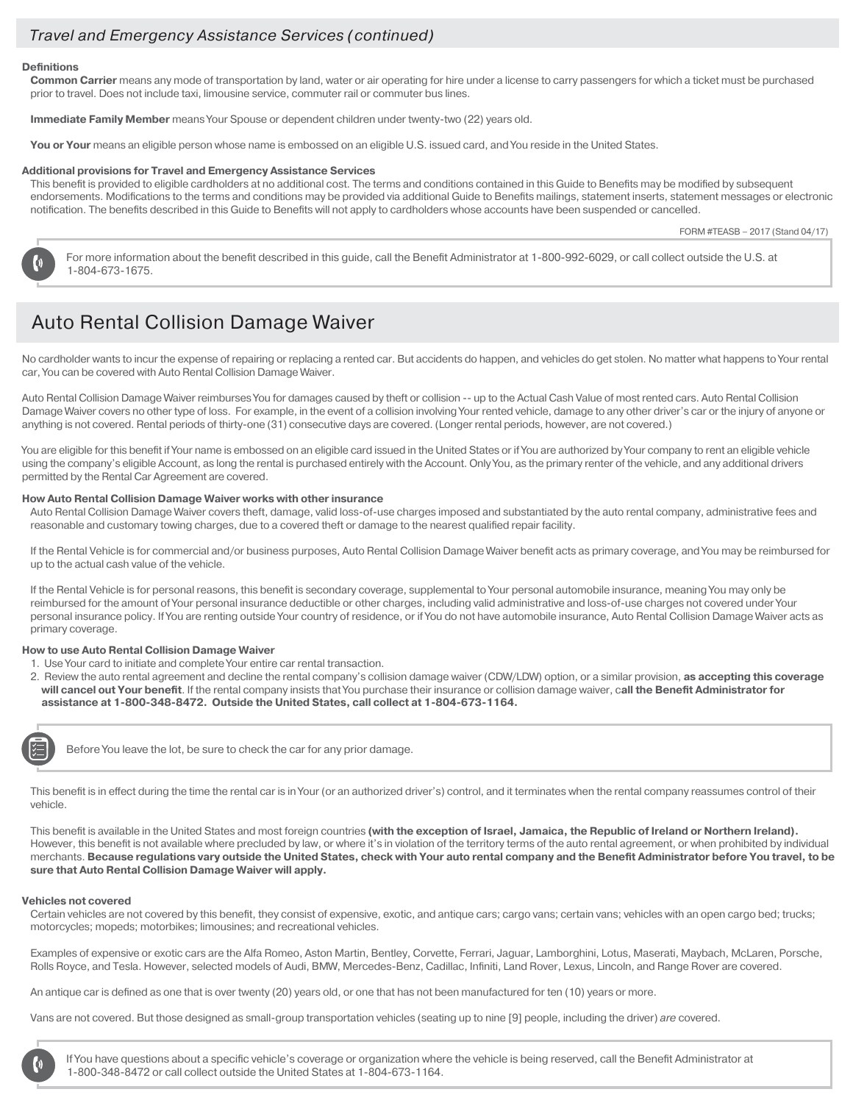### *Travel and Emergency Assistance Services (continued)*

#### **Definitions**

**Common Carrier** means any mode of transportation by land, water or air operating for hire under a license to carry passengers for which a ticket must be purchased prior to travel. Does not include taxi, limousine service, commuter rail or commuter bus lines.

**Immediate Family Member** means Your Spouse or dependent children under twenty-two (22) years old.

You or Your means an eligible person whose name is embossed on an eligible U.S. issued card, and You reside in the United States.

#### **Additional provisions for Travel and Emergency Assistance Services**

This benefit is provided to eligible cardholders at no additional cost. The terms and conditions contained in this Guide to Benefits may be modified by subsequent endorsements. Modifications to the terms and conditions may be provided via additional Guide to Benefits mailings, statement inserts, statement messages or electronic notification. The benefits described in this Guide to Benefits will not apply to cardholders whose accounts have been suspended or cancelled.

FORM #TEASB – 2017 (Stand 04/17)

For more information about the benefit described in this guide, call the Benefit Administrator at 1-800-992-6029, or call collect outside the U.S. at 1-804-673-1675.

## Auto Rental Collision Damage Waiver

No cardholder wants to incur the expense of repairing or replacing a rented car. But accidents do happen, and vehicles do get stolen. No matter what happens to Your rental car, You can be covered with Auto Rental Collision Damage Waiver.

Auto Rental Collision Damage Waiver reimburses You for damages caused by theft or collision -- up to the Actual Cash Value of most rented cars. Auto Rental Collision Damage Waiver covers no other type of loss. For example, in the event of a collision involving Your rented vehicle, damage to any other driver's car or the injury of anyone or anything is not covered. Rental periods of thirty-one (31) consecutive days are covered. (Longer rental periods, however, are not covered.)

You are eligible for this benefit if Your name is embossed on an eligible card issued in the United States or if You are authorized by Your company to rent an eligible vehicle using the company's eligible Account, as long the rental is purchased entirely with the Account. Only You, as the primary renter of the vehicle, and any additional drivers permitted by the Rental Car Agreement are covered.

#### **How Auto Rental Collision Damage Waiver works with other insurance**

Auto Rental Collision Damage Waiver covers theft, damage, valid loss-of-use charges imposed and substantiated by the auto rental company, administrative fees and reasonable and customary towing charges, due to a covered theft or damage to the nearest qualified repair facility.

If the Rental Vehicle is for commercial and/or business purposes, Auto Rental Collision Damage Waiver benefit acts as primary coverage, and You may be reimbursed for up to the actual cash value of the vehicle.

If the Rental Vehicle is for personal reasons, this benefit is secondary coverage, supplemental to Your personal automobile insurance, meaning You may only be reimbursed for the amount of Your personal insurance deductible or other charges, including valid administrative and loss-of-use charges not covered under Your personal insurance policy. If You are renting outside Your country of residence, or if You do not have automobile insurance, Auto Rental Collision Damage Waiver acts as primary coverage.

#### **How to use Auto Rental Collision Damage Waiver**

- 1. Use Your card to initiate and complete Your entire car rental transaction.
- 2. Review the auto rental agreement and decline the rental company's collision damage waiver (CDW/LDW) option, or a similar provision, **as accepting this coverage will cancel out Your benefit**. If the rental company insists that You purchase their insurance or collision damage waiver, c**all the Benefit Administrator for assistance at 1-800-348-8472. Outside the United States, call collect at 1-804-673-1164.**



Before You leave the lot, be sure to check the car for any prior damage.

This benefit is in effect during the time the rental car is in Your (or an authorized driver's) control, and it terminates when the rental company reassumes control of their vehicle.

This benefit is available in the United States and most foreign countries **(with the exception of Israel, Jamaica, the Republic of Ireland or Northern Ireland).** However, this benefit is not available where precluded by law, or where it's in violation of the territory terms of the auto rental agreement, or when prohibited by individual merchants. **Because regulations vary outside the United States, check with Your auto rental company and the Benefit Administrator before You travel, to be sure that Auto Rental Collision Damage Waiver will apply.**

#### **Vehicles not covered**

Certain vehicles are not covered by this benefit, they consist of expensive, exotic, and antique cars; cargo vans; certain vans; vehicles with an open cargo bed; trucks; motorcycles; mopeds; motorbikes; limousines; and recreational vehicles.

Examples of expensive or exotic cars are the Alfa Romeo, Aston Martin, Bentley, Corvette, Ferrari, Jaguar, Lamborghini, Lotus, Maserati, Maybach, McLaren, Porsche, Rolls Royce, and Tesla. However, selected models of Audi, BMW, Mercedes-Benz, Cadillac, Infiniti, Land Rover, Lexus, Lincoln, and Range Rover are covered.

An antique car is defined as one that is over twenty (20) years old, or one that has not been manufactured for ten (10) years or more.

Vans are not covered. But those designed as small-group transportation vehicles (seating up to nine [9] people, including the driver) *are* covered.

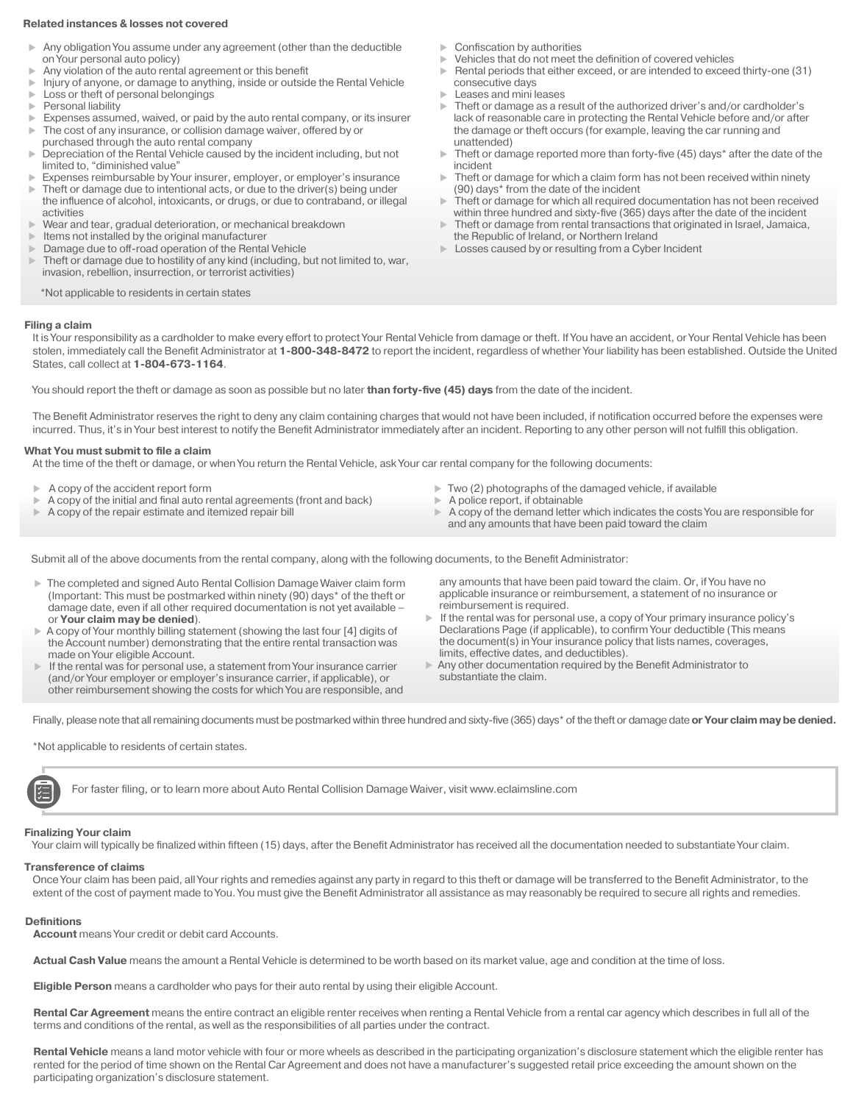#### **Related instances & losses not covered**

- Any obligation You assume under any agreement (other than the deductible on Your personal auto policy)
- Any violation of the auto rental agreement or this benefit
- Injury of anyone, or damage to anything, inside or outside the Rental Vehicle
- $\triangleright$  Loss or theft of personal belongings<br> $\triangleright$  Personal liability
- Personal liability
- Expenses assumed, waived, or paid by the auto rental company, or its insurer The cost of any insurance, or collision damage waiver, offered by or
- purchased through the auto rental company Depreciation of the Rental Vehicle caused by the incident including, but not limited to, "diminished value"
- Expenses reimbursable by Your insurer, employer, or employer's insurance
- Theft or damage due to intentional acts, or due to the driver(s) being under the influence of alcohol, intoxicants, or drugs, or due to contraband, or illegal activities
- Wear and tear, gradual deterioration, or mechanical breakdown
- Items not installed by the original manufacturer
- Damage due to off-road operation of the Rental Vehicle
- Theft or damage due to hostility of any kind (including, but not limited to, war, invasion, rebellion, insurrection, or terrorist activities)
	- \*Not applicable to residents in certain states

#### **Filing a claim**

It is Your responsibility as a cardholder to make every effort to protect Your Rental Vehicle from damage or theft. If You have an accident, or Your Rental Vehicle has been stolen, immediately call the Benefit Administrator at **1-800-348-8472** to report the incident, regardless of whether Your liability has been established. Outside the United

You should report the theft or damage as soon as possible but no later **than forty-five (45) days** from the date of the incident.

The Benefit Administrator reserves the right to deny any claim containing charges that would not have been included, if notification occurred before the expenses were incurred. Thus, it's in Your best interest to notify the Benefit Administrator immediately after an incident. Reporting to any other person will not fulfill this obligation.

#### **What You must submit to file a claim**

States, call collect at **1-804-673-1164**.

At the time of the theft or damage, or when You return the Rental Vehicle, ask Your car rental company for the following documents:

- $\blacktriangleright$  A copy of the accident report form
- $\triangleright$  A copy of the initial and final auto rental agreements (front and back)
- $\blacktriangleright$  A copy of the repair estimate and itemized repair bill
- $\blacktriangleright$  Two (2) photographs of the damaged vehicle, if available
- $\blacktriangleright$  A police report, if obtainable
- A copy of the demand letter which indicates the costs You are responsible for and any amounts that have been paid toward the claim

Submit all of the above documents from the rental company, along with the following documents, to the Benefit Administrator:

- The completed and signed Auto Rental Collision Damage Waiver claim form (Important: This must be postmarked within ninety (90) days\* of the theft or damage date, even if all other required documentation is not yet available – or **Your claim may be denied**).
- A copy of Your monthly billing statement (showing the last four [4] digits of the Account number) demonstrating that the entire rental transaction was made on Your eligible Account.
- If the rental was for personal use, a statement from Your insurance carrier (and/or Your employer or employer's insurance carrier, if applicable), or other reimbursement showing the costs for which You are responsible, and
- 

 any amounts that have been paid toward the claim. Or, if You have no applicable insurance or reimbursement, a statement of no insurance or reimbursement is required.

- If the rental was for personal use, a copy of Your primary insurance policy's Declarations Page (if applicable), to confirm Your deductible (This means the document(s) in Your insurance policy that lists names, coverages, limits, effective dates, and deductibles).
- Any other documentation required by the Benefit Administrator to substantiate the claim.

Finally, please note that all remaining documents must be postmarked within three hundred and sixty-five (365) days\* of the theft or damage date or Your claim may be denied.

\*Not applicable to residents of certain states.

For faster filing, or to learn more about Auto Rental Collision Damage Waiver, visit www.eclaimsline.com

#### **Finalizing Your claim**

Your claim will typically be finalized within fifteen (15) days, after the Benefit Administrator has received all the documentation needed to substantiate Your claim.

#### **Transference of claims**

Once Your claim has been paid, all Your rights and remedies against any party in regard to this theft or damage will be transferred to the Benefit Administrator, to the extent of the cost of payment made to You. You must give the Benefit Administrator all assistance as may reasonably be required to secure all rights and remedies.

#### **Definitions**

**Account** means Your credit or debit card Accounts.

**Actual Cash Value** means the amount a Rental Vehicle is determined to be worth based on its market value, age and condition at the time of loss.

**Eligible Person** means a cardholder who pays for their auto rental by using their eligible Account.

**Rental Car Agreement** means the entire contract an eligible renter receives when renting a Rental Vehicle from a rental car agency which describes in full all of the terms and conditions of the rental, as well as the responsibilities of all parties under the contract.

**Rental Vehicle** means a land motor vehicle with four or more wheels as described in the participating organization's disclosure statement which the eligible renter has rented for the period of time shown on the Rental Car Agreement and does not have a manufacturer's suggested retail price exceeding the amount shown on the participating organization's disclosure statement.

- Confiscation by authorities
- Vehicles that do not meet the definition of covered vehicles
- Rental periods that either exceed, or are intended to exceed thirty-one (31) consecutive days
- Leases and mini leases
- ▶ Theft or damage as a result of the authorized driver's and/or cardholder's lack of reasonable care in protecting the Rental Vehicle before and/or after the damage or theft occurs (for example, leaving the car running and unattended)
- Theft or damage reported more than forty-five (45) days\* after the date of the incident
- Theft or damage for which a claim form has not been received within ninety (90) days\* from the date of the incident
- Theft or damage for which all required documentation has not been received within three hundred and sixty-five (365) days after the date of the incident
- Theft or damage from rental transactions that originated in Israel, Jamaica, the Republic of Ireland, or Northern Ireland
- **Losses caused by or resulting from a Cyber Incident**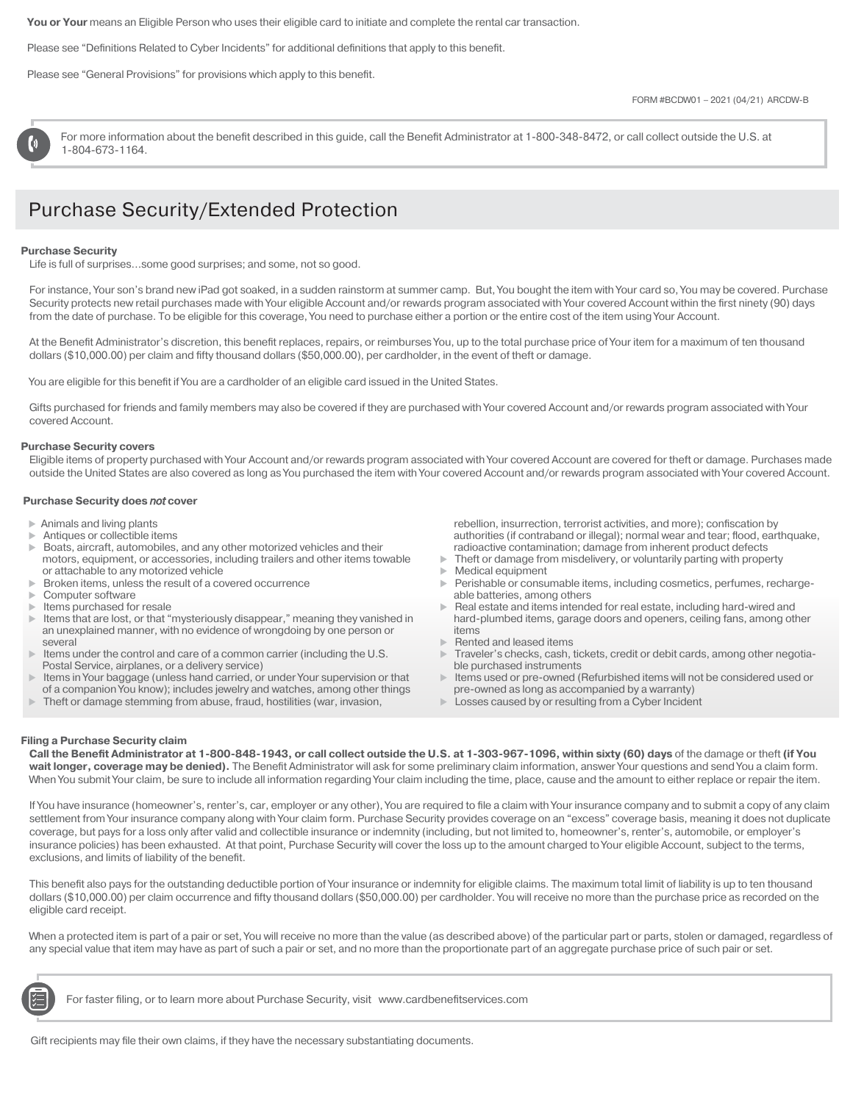**You or Your** means an Eligible Person who uses their eligible card to initiate and complete the rental car transaction.

Please see "Definitions Related to Cyber Incidents" for additional definitions that apply to this benefit.

Please see "General Provisions" for provisions which apply to this benefit.

For more information about the benefit described in this guide, call the Benefit Administrator at 1-800-348-8472, or call collect outside the U.S. at 1-804-673-1164.

## *.* Purchase Security/Extended Protection

#### **Purchase Security**

Life is full of surprises…some good surprises; and some, not so good.

For instance, Your son's brand new iPad got soaked, in a sudden rainstorm at summer camp. But, You bought the item with Your card so, You may be covered. Purchase Security protects new retail purchases made with Your eligible Account and/or rewards program associated with Your covered Account within the first ninety (90) days from the date of purchase. To be eligible for this coverage, You need to purchase either a portion or the entire cost of the item using Your Account.

At the Benefit Administrator's discretion, this benefit replaces, repairs, or reimburses You, up to the total purchase price of Your item for a maximum of ten thousand dollars (\$10,000.00) per claim and fifty thousand dollars (\$50,000.00), per cardholder, in the event of theft or damage.

You are eligible for this benefit if You are a cardholder of an eligible card issued in the United States.

Gifts purchased for friends and family members may also be covered if they are purchased with Your covered Account and/or rewards program associated with Your covered Account.

#### **Purchase Security covers**

Eligible items of property purchased with Your Account and/or rewards program associated with Your covered Account are covered for theft or damage. Purchases made outside the United States are also covered as long as You purchased the item with Your covered Account and/or rewards program associated with Your covered Account.

#### **Purchase Security does** *not* **cover**

- $\triangleright$  Animals and living plants
- Antiques or collectible items
- Boats, aircraft, automobiles, and any other motorized vehicles and their motors, equipment, or accessories, including trailers and other items towable or attachable to any motorized vehicle
- **Broken items, unless the result of a covered occurrence**
- Computer software
- $\blacktriangleright$  Items purchased for resale
- 
- $\blacktriangleright$  Items that are lost, or that "mysteriously disappear," meaning they vanished in an unexplained manner, with no evidence of wrongdoing by one person or several
- Items under the control and care of a common carrier (including the U.S. Postal Service, airplanes, or a delivery service)
- Items in Your baggage (unless hand carried, or under Your supervision or that of a companion You know); includes jewelry and watches, among other things
- Theft or damage stemming from abuse, fraud, hostilities (war, invasion,

 rebellion, insurrection, terrorist activities, and more); confiscation by authorities (if contraband or illegal); normal wear and tear; flood, earthquake, radioactive contamination; damage from inherent product defects

- $\blacktriangleright$  Theft or damage from misdelivery, or voluntarily parting with property
- Medical equipment
- Perishable or consumable items, including cosmetics, perfumes, rechargeable batteries, among others
- Real estate and items intended for real estate, including hard-wired and hard-plumbed items, garage doors and openers, ceiling fans, among other items
- Rented and leased items
- Traveler's checks, cash, tickets, credit or debit cards, among other negotiable purchased instruments
- Items used or pre-owned (Refurbished items will not be considered used or pre-owned as long as accompanied by a warranty)
- Losses caused by or resulting from a Cyber Incident

#### **Filing a Purchase Security claim**

**Call the Benefit Administrator at 1-800-848-1943, or call collect outside the U.S. at 1-303-967-1096, within sixty (60) days** of the damage or theft **(if You**  wait longer, coverage may be denied). The Benefit Administrator will ask for some preliminary claim information, answer Your questions and send You a claim form. When You submit Your claim, be sure to include all information regarding Your claim including the time, place, cause and the amount to either replace or repair the item.

If You have insurance (homeowner's, renter's, car, employer or any other), You are required to file a claim with Your insurance company and to submit a copy of any claim settlement from Your insurance company along with Your claim form. Purchase Security provides coverage on an "excess" coverage basis, meaning it does not duplicate coverage, but pays for a loss only after valid and collectible insurance or indemnity (including, but not limited to, homeowner's, renter's, automobile, or employer's insurance policies) has been exhausted. At that point, Purchase Security will cover the loss up to the amount charged to Your eligible Account, subject to the terms, exclusions, and limits of liability of the benefit.

This benefit also pays for the outstanding deductible portion of Your insurance or indemnity for eligible claims. The maximum total limit of liability is up to ten thousand dollars (\$10,000.00) per claim occurrence and fifty thousand dollars (\$50,000.00) per cardholder. You will receive no more than the purchase price as recorded on the eligible card receipt.

When a protected item is part of a pair or set, You will receive no more than the value (as described above) of the particular part or parts, stolen or damaged, regardless of any special value that item may have as part of such a pair or set, and no more than the proportionate part of an aggregate purchase price of such pair or set.



For faster filing, or to learn more about Purchase Security, visit www.cardbenefitservices.com

Gift recipients may file their own claims, if they have the necessary substantiating documents.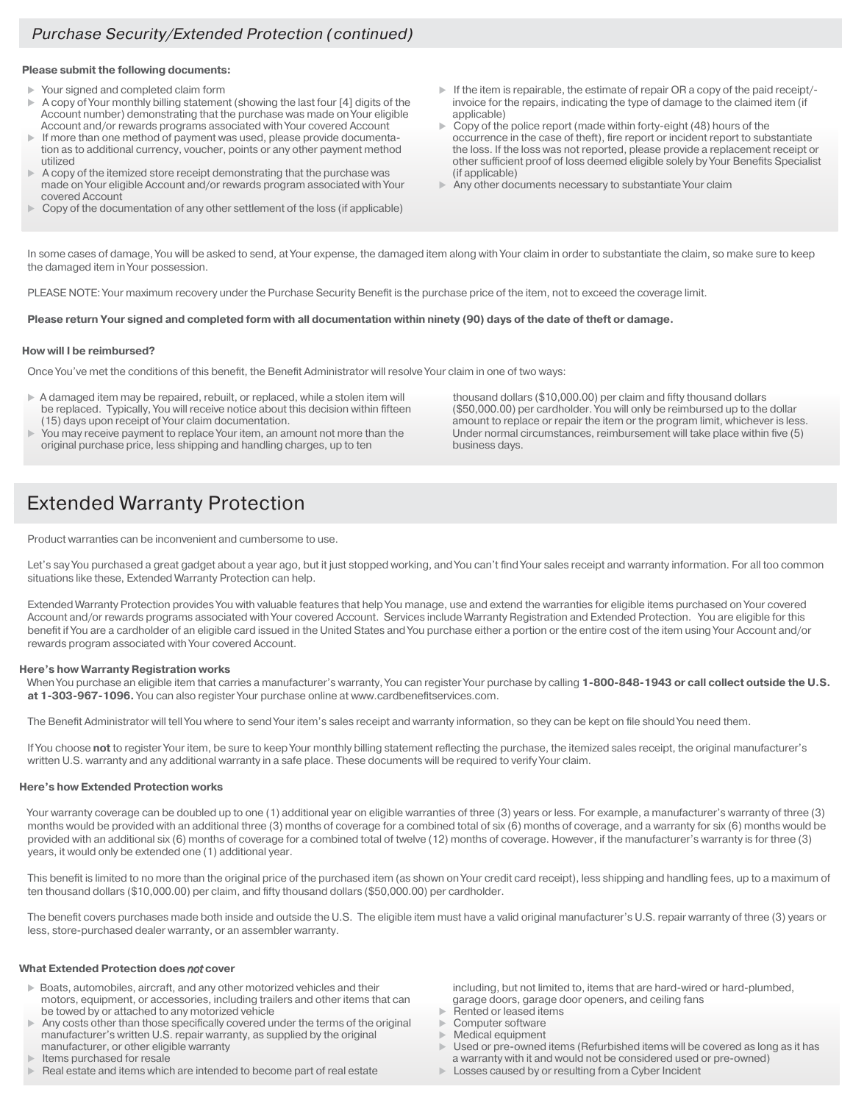#### **Please submit the following documents:**

- Your signed and completed claim form
- A copy of Your monthly billing statement (showing the last four [4] digits of the Account number) demonstrating that the purchase was made on Your eligible Account and/or rewards programs associated with Your covered Account
- If more than one method of payment was used, please provide documentation as to additional currency, voucher, points or any other payment method utilized
- A copy of the itemized store receipt demonstrating that the purchase was made on Your eligible Account and/or rewards program associated with Your covered Account
- Copy of the documentation of any other settlement of the loss (if applicable)
- $\blacktriangleright$  If the item is repairable, the estimate of repair OR a copy of the paid receipt/invoice for the repairs, indicating the type of damage to the claimed item (if applicable)
- Copy of the police report (made within forty-eight (48) hours of the occurrence in the case of theft), fire report or incident report to substantiate the loss. If the loss was not reported, please provide a replacement receipt or other sufficient proof of loss deemed eligible solely by Your Benefits Specialist (if applicable)
- Any other documents necessary to substantiate Your claim

In some cases of damage, You will be asked to send, at Your expense, the damaged item along with Your claim in order to substantiate the claim, so make sure to keep the damaged item in Your possession.

PLEASE NOTE: Your maximum recovery under the Purchase Security Benefit is the purchase price of the item, not to exceed the coverage limit.

#### **Please return Your signed and completed form with all documentation within ninety (90) days of the date of theft or damage.**

#### **How will I be reimbursed?**

Once You've met the conditions of this benefit, the Benefit Administrator will resolve Your claim in one of two ways:

- A damaged item may be repaired, rebuilt, or replaced, while a stolen item will be replaced. Typically, You will receive notice about this decision within fifteen (15) days upon receipt of Your claim documentation.
- You may receive payment to replace Your item, an amount not more than the original purchase price, less shipping and handling charges, up to ten

 thousand dollars (\$10,000.00) per claim and fifty thousand dollars (\$50,000.00) per cardholder. You will only be reimbursed up to the dollar amount to replace or repair the item or the program limit, whichever is less. Under normal circumstances, reimbursement will take place within five (5) business days.

## **Extended Warranty Protection**

Product warranties can be inconvenient and cumbersome to use.

Let's say You purchased a great gadget about a year ago, but it just stopped working, and You can't find Your sales receipt and warranty information. For all too common situations like these, Extended Warranty Protection can help.

Extended Warranty Protection provides You with valuable features that help You manage, use and extend the warranties for eligible items purchased on Your covered Account and/or rewards programs associated with Your covered Account. Services include Warranty Registration and Extended Protection. You are eligible for this benefit if You are a cardholder of an eligible card issued in the United States and You purchase either a portion or the entire cost of the item using Your Account and/or rewards program associated with Your covered Account.

#### **Here's how Warranty Registration works**

When You purchase an eligible item that carries a manufacturer's warranty, You can register Your purchase by calling 1-800-848-1943 or call collect outside the U.S. **at 1-303-967-1096.** You can also register Your purchase online at www.cardbenefitservices.com.

The Benefit Administrator will tell You where to send Your item's sales receipt and warranty information, so they can be kept on file should You need them.

If You choose **not** to register Your item, be sure to keep Your monthly billing statement reflecting the purchase, the itemized sales receipt, the original manufacturer's written U.S. warranty and any additional warranty in a safe place. These documents will be required to verify Your claim.

#### **Here's how Extended Protection works**

Your warranty coverage can be doubled up to one (1) additional year on eligible warranties of three (3) years or less. For example, a manufacturer's warranty of three (3) months would be provided with an additional three (3) months of coverage for a combined total of six (6) months of coverage, and a warranty for six (6) months would be provided with an additional six (6) months of coverage for a combined total of twelve (12) months of coverage. However, if the manufacturer's warranty is for three (3) years, it would only be extended one (1) additional year.

This benefit is limited to no more than the original price of the purchased item (as shown on Your credit card receipt), less shipping and handling fees, up to a maximum of ten thousand dollars (\$10,000.00) per claim, and fifty thousand dollars (\$50,000.00) per cardholder.

The benefit covers purchases made both inside and outside the U.S. The eligible item must have a valid original manufacturer's U.S. repair warranty of three (3) years or less, store-purchased dealer warranty, or an assembler warranty.

#### **What Extended Protection does** *not* **cover**

- Boats, automobiles, aircraft, and any other motorized vehicles and their motors, equipment, or accessories, including trailers and other items that can be towed by or attached to any motorized vehicle
- Any costs other than those specifically covered under the terms of the original manufacturer's written U.S. repair warranty, as supplied by the original manufacturer, or other eligible warranty
- Items purchased for resale
- Real estate and items which are intended to become part of real estate

 including, but not limited to, items that are hard-wired or hard-plumbed, garage doors, garage door openers, and ceiling fans

- Rented or leased items
- Computer software
- Medical equipment
- Used or pre-owned items (Refurbished items will be covered as long as it has a warranty with it and would not be considered used or pre-owned)
- **Losses caused by or resulting from a Cyber Incident**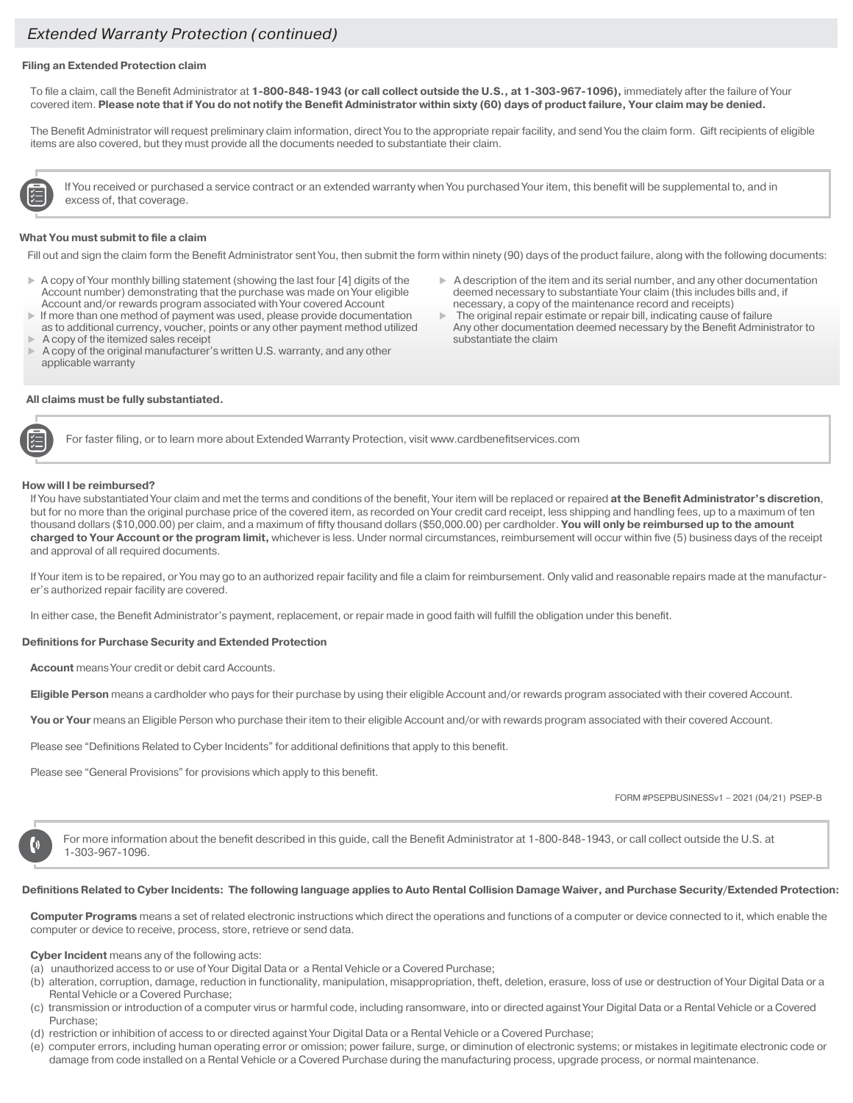#### **Filing an Extended Protection claim**

To file a claim, call the Benefit Administrator at **1-800-848-1943 (or call collect outside the U.S., at 1-303-967-1096),** immediately after the failure of Your covered item. **Please note that if You do not notify the Benefit Administrator within sixty (60) days of product failure, Your claim may be denied.** 

The Benefit Administrator will request preliminary claim information, direct You to the appropriate repair facility, and send You the claim form. Gift recipients of eligible items are also covered, but they must provide all the documents needed to substantiate their claim.

If You received or purchased a service contract or an extended warranty when You purchased Your item, this benefit will be supplemental to, and in excess of, that coverage.

#### **What You must submit to file a claim**

Fill out and sign the claim form the Benefit Administrator sent You, then submit the form within ninety (90) days of the product failure, along with the following documents:

- $\triangleright$  A copy of Your monthly billing statement (showing the last four [4] digits of the Account number) demonstrating that the purchase was made on Your eligible Account and/or rewards program associated with Your covered Account
- If more than one method of payment was used, please provide documentation as to additional currency, voucher, points or any other payment method utilized A copy of the itemized sales receipt
- A copy of the original manufacturer's written U.S. warranty, and any other applicable warranty

#### **All claims must be fully substantiated.**

- $\triangleright$  A description of the item and its serial number, and any other documentation deemed necessary to substantiate Your claim (this includes bills and, if necessary, a copy of the maintenance record and receipts)
- The original repair estimate or repair bill, indicating cause of failure Any other documentation deemed necessary by the Benefit Administrator to substantiate the claim

For faster filing, or to learn more about Extended Warranty Protection, visit www.cardbenefitservices.com

#### **How will I be reimbursed?**

If You have substantiated Your claim and met the terms and conditions of the benefit, Your item will be replaced or repaired **at the Benefit Administrator's discretion**, but for no more than the original purchase price of the covered item, as recorded on Your credit card receipt, less shipping and handling fees, up to a maximum of ten thousand dollars (\$10,000.00) per claim, and a maximum of fifty thousand dollars (\$50,000.00) per cardholder. **You will only be reimbursed up to the amount charged to Your Account or the program limit,** whichever is less. Under normal circumstances, reimbursement will occur within five (5) business days of the receipt and approval of all required documents.

If Your item is to be repaired, or You may go to an authorized repair facility and file a claim for reimbursement. Only valid and reasonable repairs made at the manufacturer's authorized repair facility are covered.

In either case, the Benefit Administrator's payment, replacement, or repair made in good faith will fulfill the obligation under this benefit.

#### **Definitions for Purchase Security and Extended Protection**

**Account** means Your credit or debit card Accounts.

**Eligible Person** means a cardholder who pays for their purchase by using their eligible Account and/or rewards program associated with their covered Account.

You or Your means an Eligible Person who purchase their item to their eligible Account and/or with rewards program associated with their covered Account.

Please see "Definitions Related to Cyber Incidents" for additional definitions that apply to this benefit.

Please see "General Provisions" for provisions which apply to this benefit.

FORM #PSEPBUSINESSv1 – 2021 (04/21) PSEP-B

For more information about the benefit described in this guide, call the Benefit Administrator at 1-800-848-1943, or call collect outside the U.S. at 1-303-967-1096.

#### **Definitions Related to Cyber Incidents: The following language applies to Auto Rental Collision Damage Waiver, and Purchase Security/Extended Protection:**

**Computer Programs** means a set of related electronic instructions which direct the operations and functions of a computer or device connected to it, which enable the computer or device to receive, process, store, retrieve or send data.

**Cyber Incident** means any of the following acts:

- (a) unauthorized access to or use of Your Digital Data or a Rental Vehicle or a Covered Purchase;
- (b) alteration, corruption, damage, reduction in functionality, manipulation, misappropriation, theft, deletion, erasure, loss of use or destruction of Your Digital Data or a Rental Vehicle or a Covered Purchase;
- (c) transmission or introduction of a computer virus or harmful code, including ransomware, into or directed against Your Digital Data or a Rental Vehicle or a Covered Purchase;
- (d) restriction or inhibition of access to or directed against Your Digital Data or a Rental Vehicle or a Covered Purchase;
- (e) computer errors, including human operating error or omission; power failure, surge, or diminution of electronic systems; or mistakes in legitimate electronic code or damage from code installed on a Rental Vehicle or a Covered Purchase during the manufacturing process, upgrade process, or normal maintenance.